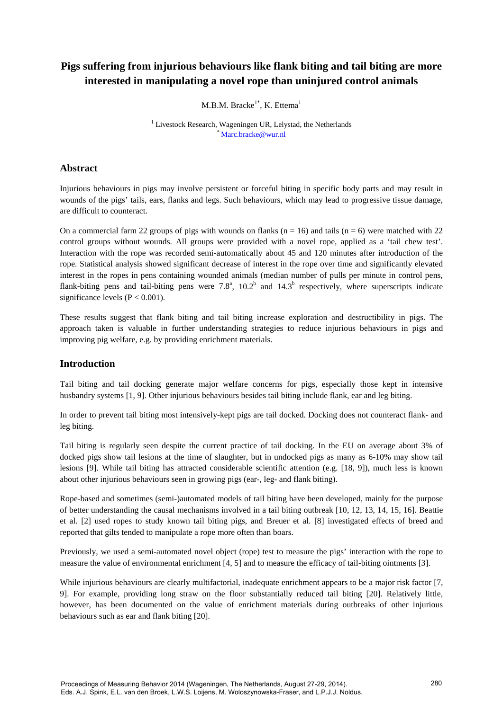# **Pigs suffering from injurious behaviours like flank biting and tail biting are more interested in manipulating a novel rope than uninjured control animals**

M.B.M. Bracke<sup>1\*</sup>, K. Ettema<sup>1</sup>

<sup>1</sup> Livestock Research, Wageningen UR, Lelystad, the Netherlands [\\* Marc.bracke@wur.nl](mailto:Marc.bracke@wur.nl) 

### **Abstract**

Injurious behaviours in pigs may involve persistent or forceful biting in specific body parts and may result in wounds of the pigs' tails, ears, flanks and legs. Such behaviours, which may lead to progressive tissue damage, are difficult to counteract.

On a commercial farm 22 groups of pigs with wounds on flanks  $(n = 16)$  and tails  $(n = 6)$  were matched with 22 control groups without wounds. All groups were provided with a novel rope, applied as a 'tail chew test'. Interaction with the rope was recorded semi-automatically about 45 and 120 minutes after introduction of the rope. Statistical analysis showed significant decrease of interest in the rope over time and significantly elevated interest in the ropes in pens containing wounded animals (median number of pulls per minute in control pens, flank-biting pens and tail-biting pens were 7.8<sup>a</sup>, 10.2<sup>b</sup> and 14.3<sup>b</sup> respectively, where superscripts indicate significance levels  $(P < 0.001)$ .

These results suggest that flank biting and tail biting increase exploration and destructibility in pigs. The approach taken is valuable in further understanding strategies to reduce injurious behaviours in pigs and improving pig welfare, e.g. by providing enrichment materials.

# **Introduction**

Tail biting and tail docking generate major welfare concerns for pigs, especially those kept in intensive husbandry systems [1, 9]. Other injurious behaviours besides tail biting include flank, ear and leg biting.

In order to prevent tail biting most intensively-kept pigs are tail docked. Docking does not counteract flank- and leg biting.

Tail biting is regularly seen despite the current practice of tail docking. In the EU on average about 3% of docked pigs show tail lesions at the time of slaughter, but in undocked pigs as many as 6-10% may show tail lesions [9]. While tail biting has attracted considerable scientific attention (e.g. [18, 9]), much less is known about other injurious behaviours seen in growing pigs (ear-, leg- and flank biting).

Rope-based and sometimes (semi-)automated models of tail biting have been developed, mainly for the purpose of better understanding the causal mechanisms involved in a tail biting outbreak [10, 12, 13, 14, 15, 16]. Beattie et al. [2] used ropes to study known tail biting pigs, and Breuer et al. [8] investigated effects of breed and reported that gilts tended to manipulate a rope more often than boars.

Previously, we used a semi-automated novel object (rope) test to measure the pigs' interaction with the rope to measure the value of environmental enrichment [4, 5] and to measure the efficacy of tail-biting ointments [3].

While injurious behaviours are clearly multifactorial, inadequate enrichment appears to be a major risk factor [7, 9]. For example, providing long straw on the floor substantially reduced tail biting [20]. Relatively little, however, has been documented on the value of enrichment materials during outbreaks of other injurious behaviours such as ear and flank biting [20].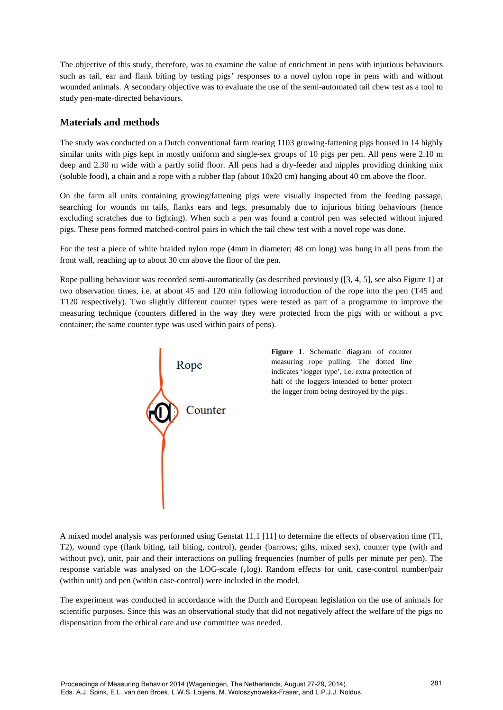The objective of this study, therefore, was to examine the value of enrichment in pens with injurious behaviours such as tail, ear and flank biting by testing pigs' responses to a novel nylon rope in pens with and without wounded animals. A secondary objective was to evaluate the use of the semi-automated tail chew test as a tool to study pen-mate-directed behaviours.

### **Materials and methods**

The study was conducted on a Dutch conventional farm rearing 1103 growing-fattening pigs housed in 14 highly similar units with pigs kept in mostly uniform and single-sex groups of 10 pigs per pen. All pens were 2.10 m deep and 2.30 m wide with a partly solid floor. All pens had a dry-feeder and nipples providing drinking mix (soluble food), a chain and a rope with a rubber flap (about 10x20 cm) hanging about 40 cm above the floor.

On the farm all units containing growing/fattening pigs were visually inspected from the feeding passage, searching for wounds on tails, flanks ears and legs, presumably due to injurious biting behaviours (hence excluding scratches due to fighting). When such a pen was found a control pen was selected without injured pigs. These pens formed matched-control pairs in which the tail chew test with a novel rope was done.

For the test a piece of white braided nylon rope (4mm in diameter; 48 cm long) was hung in all pens from the front wall, reaching up to about 30 cm above the floor of the pen.

Rope pulling behaviour was recorded semi-automatically (as described previously ([3, 4, 5], see also Figure 1) at two observation times, i.e. at about 45 and 120 min following introduction of the rope into the pen (T45 and T120 respectively). Two slightly different counter types were tested as part of a programme to improve the measuring technique (counters differed in the way they were protected from the pigs with or without a pvc container; the same counter type was used within pairs of pens).



**Figure 1**. Schematic diagram of counter measuring rope pulling. The dotted line indicates 'logger type', i.e. extra protection of half of the loggers intended to better protect the logger from being destroyed by the pigs .

A mixed model analysis was performed using Genstat 11.1 [11] to determine the effects of observation time (T1, T2), wound type (flank biting, tail biting, control), gender (barrows; gilts, mixed sex), counter type (with and without pvc), unit, pair and their interactions on pulling frequencies (number of pulls per minute per pen). The response variable was analysed on the LOG-scale (elog). Random effects for unit, case-control number/pair (within unit) and pen (within case-control) were included in the model.

The experiment was conducted in accordance with the Dutch and European legislation on the use of animals for scientific purposes. Since this was an observational study that did not negatively affect the welfare of the pigs no dispensation from the ethical care and use committee was needed.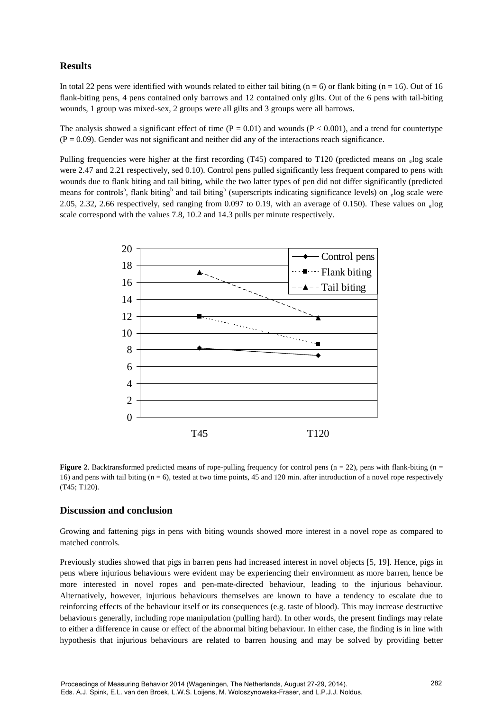# **Results**

In total 22 pens were identified with wounds related to either tail biting (n = 6) or flank biting (n = 16). Out of 16 flank-biting pens, 4 pens contained only barrows and 12 contained only gilts. Out of the 6 pens with tail-biting wounds, 1 group was mixed-sex, 2 groups were all gilts and 3 groups were all barrows.

The analysis showed a significant effect of time  $(P = 0.01)$  and wounds  $(P < 0.001)$ , and a trend for countertype  $(P = 0.09)$ . Gender was not significant and neither did any of the interactions reach significance.

Pulling frequencies were higher at the first recording (T45) compared to T120 (predicted means on elog scale were 2.47 and 2.21 respectively, sed 0.10). Control pens pulled significantly less frequent compared to pens with wounds due to flank biting and tail biting, while the two latter types of pen did not differ significantly (predicted means for controls<sup>a</sup>, flank biting<sup>b</sup> and tail biting<sup>b</sup> (superscripts indicating significance levels) on <sub>e</sub>log scale were 2.05, 2.32, 2.66 respectively, sed ranging from 0.097 to 0.19, with an average of 0.150). These values on  $log$ scale correspond with the values 7.8, 10.2 and 14.3 pulls per minute respectively.



**Figure 2.** Backtransformed predicted means of rope-pulling frequency for control pens ( $n = 22$ ), pens with flank-biting ( $n = 12$ ) 16) and pens with tail biting  $(n = 6)$ , tested at two time points, 45 and 120 min. after introduction of a novel rope respectively (T45; T120).

### **Discussion and conclusion**

Growing and fattening pigs in pens with biting wounds showed more interest in a novel rope as compared to matched controls.

Previously studies showed that pigs in barren pens had increased interest in novel objects [5, 19]. Hence, pigs in pens where injurious behaviours were evident may be experiencing their environment as more barren, hence be more interested in novel ropes and pen-mate-directed behaviour, leading to the injurious behaviour. Alternatively, however, injurious behaviours themselves are known to have a tendency to escalate due to reinforcing effects of the behaviour itself or its consequences (e.g. taste of blood). This may increase destructive behaviours generally, including rope manipulation (pulling hard). In other words, the present findings may relate to either a difference in cause or effect of the abnormal biting behaviour. In either case, the finding is in line with hypothesis that injurious behaviours are related to barren housing and may be solved by providing better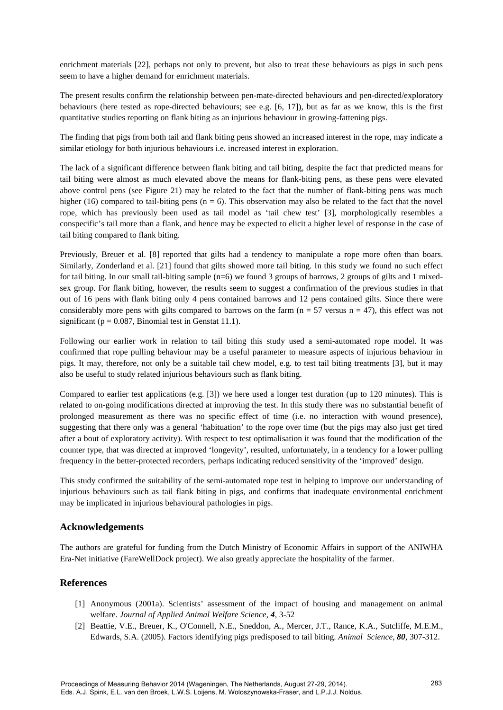enrichment materials [22], perhaps not only to prevent, but also to treat these behaviours as pigs in such pens seem to have a higher demand for enrichment materials.

The present results confirm the relationship between pen-mate-directed behaviours and pen-directed/exploratory behaviours (here tested as rope-directed behaviours; see e.g. [6, 17]), but as far as we know, this is the first quantitative studies reporting on flank biting as an injurious behaviour in growing-fattening pigs.

The finding that pigs from both tail and flank biting pens showed an increased interest in the rope, may indicate a similar etiology for both injurious behaviours i.e. increased interest in exploration.

The lack of a significant difference between flank biting and tail biting, despite the fact that predicted means for tail biting were almost as much elevated above the means for flank-biting pens, as these pens were elevated above control pens (see Figure 21) may be related to the fact that the number of flank-biting pens was much higher (16) compared to tail-biting pens ( $n = 6$ ). This observation may also be related to the fact that the novel rope, which has previously been used as tail model as 'tail chew test' [3], morphologically resembles a conspecific's tail more than a flank, and hence may be expected to elicit a higher level of response in the case of tail biting compared to flank biting.

Previously, Breuer et al. [8] reported that gilts had a tendency to manipulate a rope more often than boars. Similarly, Zonderland et al. [21] found that gilts showed more tail biting. In this study we found no such effect for tail biting. In our small tail-biting sample  $(n=6)$  we found 3 groups of barrows, 2 groups of gilts and 1 mixedsex group. For flank biting, however, the results seem to suggest a confirmation of the previous studies in that out of 16 pens with flank biting only 4 pens contained barrows and 12 pens contained gilts. Since there were considerably more pens with gilts compared to barrows on the farm ( $n = 57$  versus  $n = 47$ ), this effect was not significant ( $p = 0.087$ , Binomial test in Genstat 11.1).

Following our earlier work in relation to tail biting this study used a semi-automated rope model. It was confirmed that rope pulling behaviour may be a useful parameter to measure aspects of injurious behaviour in pigs. It may, therefore, not only be a suitable tail chew model, e.g. to test tail biting treatments [3], but it may also be useful to study related injurious behaviours such as flank biting.

Compared to earlier test applications (e.g. [3]) we here used a longer test duration (up to 120 minutes). This is related to on-going modifications directed at improving the test. In this study there was no substantial benefit of prolonged measurement as there was no specific effect of time (i.e. no interaction with wound presence), suggesting that there only was a general 'habituation' to the rope over time (but the pigs may also just get tired after a bout of exploratory activity). With respect to test optimalisation it was found that the modification of the counter type, that was directed at improved 'longevity', resulted, unfortunately, in a tendency for a lower pulling frequency in the better-protected recorders, perhaps indicating reduced sensitivity of the 'improved' design.

This study confirmed the suitability of the semi-automated rope test in helping to improve our understanding of injurious behaviours such as tail flank biting in pigs, and confirms that inadequate environmental enrichment may be implicated in injurious behavioural pathologies in pigs.

### **Acknowledgements**

The authors are grateful for funding from the Dutch Ministry of Economic Affairs in support of the ANIWHA Era-Net initiative (FareWellDock project). We also greatly appreciate the hospitality of the farmer.

# **References**

- [1] Anonymous (2001a). Scientists' assessment of the impact of housing and management on animal welfare. *Journal of Applied Animal Welfare Science, 4,* 3-52
- [2] Beattie, V.E., Breuer, K., O'Connell, N.E., Sneddon, A., Mercer, J.T., Rance, K.A., Sutcliffe, M.E.M., Edwards, S.A. (2005). Factors identifying pigs predisposed to tail biting. *Animal Science, 80*, 307-312.